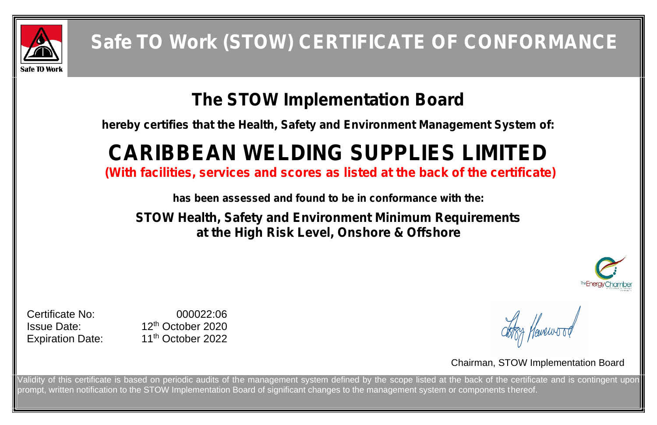

## **The STOW Implementation Board**

**hereby certifies that the Health, Safety and Environment Management System of:**

# **CARIBBEAN WELDING SUPPLIES LIMITED**

Certificate No: 000022:06 Issue Date: 12 th October 2020 11<sup>th</sup> October 2022

**(With facilities, services and scores as listed at the back of the certificate)**

**has been assessed and found to be in conformance with the:**

**STOW Health, Safety and Environment Minimum Requirements at the High Risk Level, Onshore & Offshore**

**Expiration Date:** 

## Chairman, STOW Implementation Board

Validity of this certificate is based on periodic audits of the management system defined by the scope listed at the back of the certificate and is contingent upon prompt, written notification to the STOW Implementation Board of significant changes to the management system or components thereof.